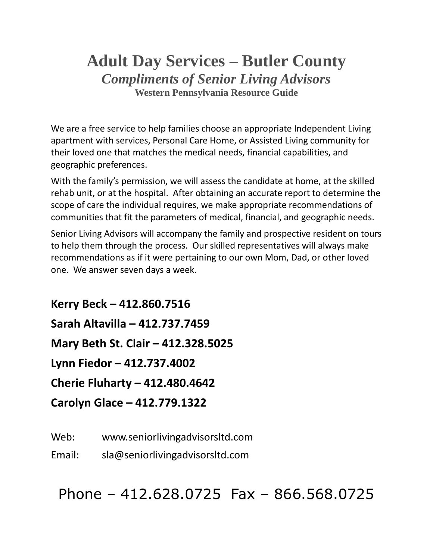## **Adult Day Services – Butler County** *Compliments of Senior Living Advisors* **Western Pennsylvania Resource Guide**

We are a free service to help families choose an appropriate Independent Living apartment with services, Personal Care Home, or Assisted Living community for their loved one that matches the medical needs, financial capabilities, and geographic preferences.

With the family's permission, we will assess the candidate at home, at the skilled rehab unit, or at the hospital. After obtaining an accurate report to determine the scope of care the individual requires, we make appropriate recommendations of communities that fit the parameters of medical, financial, and geographic needs.

Senior Living Advisors will accompany the family and prospective resident on tours to help them through the process. Our skilled representatives will always make recommendations as if it were pertaining to our own Mom, Dad, or other loved one. We answer seven days a week.

**Kerry Beck – 412.860.7516 Sarah Altavilla – 412.737.7459 Mary Beth St. Clair – 412.328.5025 Lynn Fiedor – 412.737.4002 Cherie Fluharty – 412.480.4642 Carolyn Glace – 412.779.1322**

Web: www.seniorlivingadvisorsltd.com

Email: sla@seniorlivingadvisorsltd.com

Phone – 412.628.0725 Fax – 866.568.0725